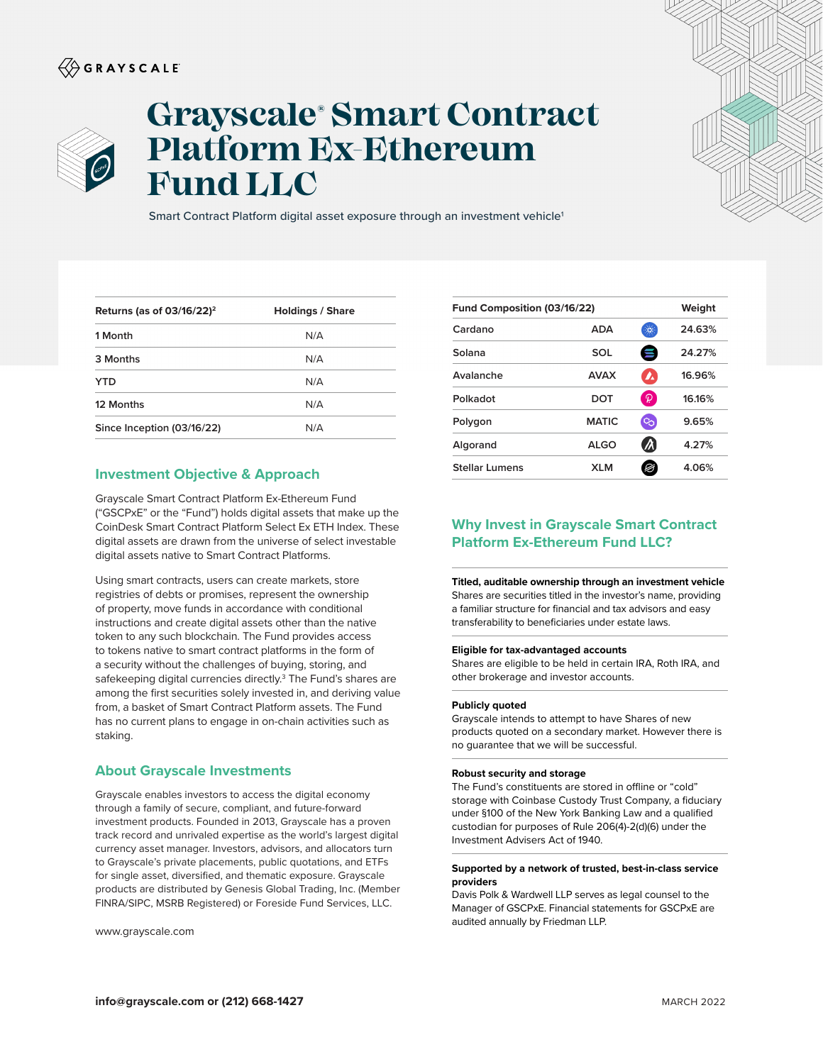## $\langle\!\!\!\langle\hat{\mathbin{\hspace{1.5pt}\circ}}$  G R A Y S C A L E



# **Grayscale® Smart Contract Platform Ex-Ethereum Fund LLC**

Smart Contract Platform digital asset exposure through an investment vehicle<sup>1</sup>

| Returns (as of $03/16/22$ ) <sup>2</sup> | <b>Holdings / Share</b> |
|------------------------------------------|-------------------------|
| 1 Month                                  | N/A                     |
| 3 Months                                 | N/A                     |
| YTD                                      | N/A                     |
| 12 Months                                | N/A                     |
| Since Inception (03/16/22)               | N/A                     |

### **Investment Objective & Approach**

Grayscale Smart Contract Platform Ex-Ethereum Fund ("GSCPxE" or the "Fund") holds digital assets that make up the CoinDesk Smart Contract Platform Select Ex ETH Index. These digital assets are drawn from the universe of select investable digital assets native to Smart Contract Platforms.

Using smart contracts, users can create markets, store registries of debts or promises, represent the ownership of property, move funds in accordance with conditional instructions and create digital assets other than the native token to any such blockchain. The Fund provides access to tokens native to smart contract platforms in the form of a security without the challenges of buying, storing, and safekeeping digital currencies directly.<sup>3</sup> The Fund's shares are among the first securities solely invested in, and deriving value from, a basket of Smart Contract Platform assets. The Fund has no current plans to engage in on-chain activities such as staking.

## **About Grayscale Investments**

Grayscale enables investors to access the digital economy through a family of secure, compliant, and future-forward investment products. Founded in 2013, Grayscale has a proven track record and unrivaled expertise as the world's largest digital currency asset manager. Investors, advisors, and allocators turn to Grayscale's private placements, public quotations, and ETFs for single asset, diversified, and thematic exposure. Grayscale products are distributed by Genesis Global Trading, Inc. (Member FINRA/SIPC, MSRB Registered) or Foreside Fund Services, LLC.

www.grayscale.com

| Fund Composition (03/16/22) |              |                             | Weight |
|-----------------------------|--------------|-----------------------------|--------|
| Cardano                     | <b>ADA</b>   | $\mathcal{L}_{\mathcal{S}}$ | 24.63% |
| Solana                      | SOL          | Ξ                           | 24.27% |
| Avalanche                   | <b>AVAX</b>  | $\mathbf{v}$                | 16.96% |
| Polkadot                    | DOT          | P                           | 16.16% |
| Polygon                     | <b>MATIC</b> | ౸                           | 9.65%  |
| Algorand                    | <b>ALGO</b>  | Л                           | 4.27%  |
| <b>Stellar Lumens</b>       | <b>XLM</b>   |                             | 4.06%  |
|                             |              |                             |        |

## **Why Invest in Grayscale Smart Contract Platform Ex-Ethereum Fund LLC?**

**Titled, auditable ownership through an investment vehicle**  Shares are securities titled in the investor's name, providing a familiar structure for financial and tax advisors and easy transferability to beneficiaries under estate laws.

#### **Eligible for tax-advantaged accounts**

Shares are eligible to be held in certain IRA, Roth IRA, and other brokerage and investor accounts.

#### **Publicly quoted**

Grayscale intends to attempt to have Shares of new products quoted on a secondary market. However there is no guarantee that we will be successful.

#### **Robust security and storage**

The Fund's constituents are stored in offline or "cold" storage with Coinbase Custody Trust Company, a fiduciary under §100 of the New York Banking Law and a qualified custodian for purposes of Rule 206(4)-2(d)(6) under the Investment Advisers Act of 1940.

#### **Supported by a network of trusted, best-in-class service providers**

Davis Polk & Wardwell LLP serves as legal counsel to the Manager of GSCPxE. Financial statements for GSCPxE are audited annually by Friedman LLP.